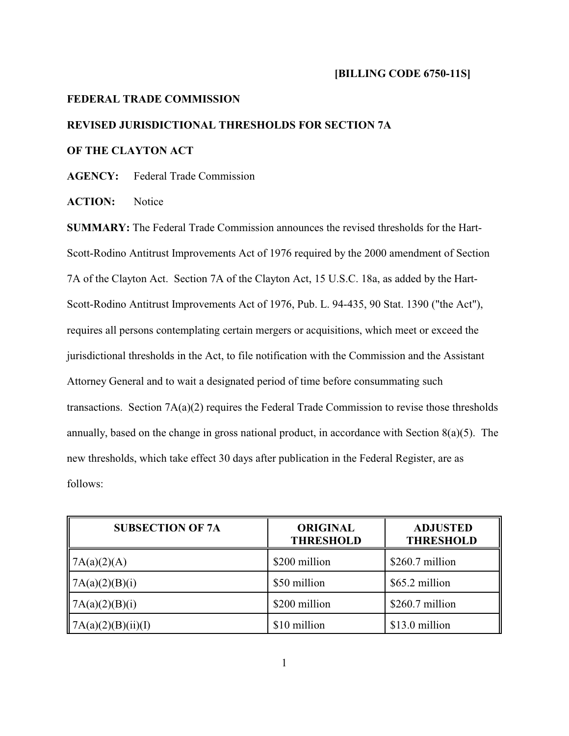## **FEDERAL TRADE COMMISSION**

## **REVISED JURISDICTIONAL THRESHOLDS FOR SECTION 7A**

## **OF THE CLAYTON ACT**

**AGENCY:** Federal Trade Commission

**ACTION:** Notice

**SUMMARY:** The Federal Trade Commission announces the revised thresholds for the Hart-Scott-Rodino Antitrust Improvements Act of 1976 required by the 2000 amendment of Section 7A of the Clayton Act. Section 7A of the Clayton Act, 15 U.S.C. 18a, as added by the Hart-Scott-Rodino Antitrust Improvements Act of 1976, Pub. L. 94-435, 90 Stat. 1390 ("the Act"), requires all persons contemplating certain mergers or acquisitions, which meet or exceed the jurisdictional thresholds in the Act, to file notification with the Commission and the Assistant Attorney General and to wait a designated period of time before consummating such transactions. Section  $7A(a)(2)$  requires the Federal Trade Commission to revise those thresholds annually, based on the change in gross national product, in accordance with Section 8(a)(5). The new thresholds, which take effect 30 days after publication in the Federal Register, are as follows:

| <b>SUBSECTION OF 7A</b>     | <b>ORIGINAL</b><br><b>THRESHOLD</b> | <b>ADJUSTED</b><br><b>THRESHOLD</b> |
|-----------------------------|-------------------------------------|-------------------------------------|
| $\vert$ 7A(a)(2)(A)         | \$200 million                       | $$260.7$ million                    |
| 7A(a)(2)(B)(i)              | \$50 million                        | \$65.2 million                      |
| $\vert A(a)(2)(B)(i) \vert$ | \$200 million                       | $$260.7$ million                    |
| 7A(a)(2)(B)(ii)(I)          | \$10 million                        | \$13.0 million                      |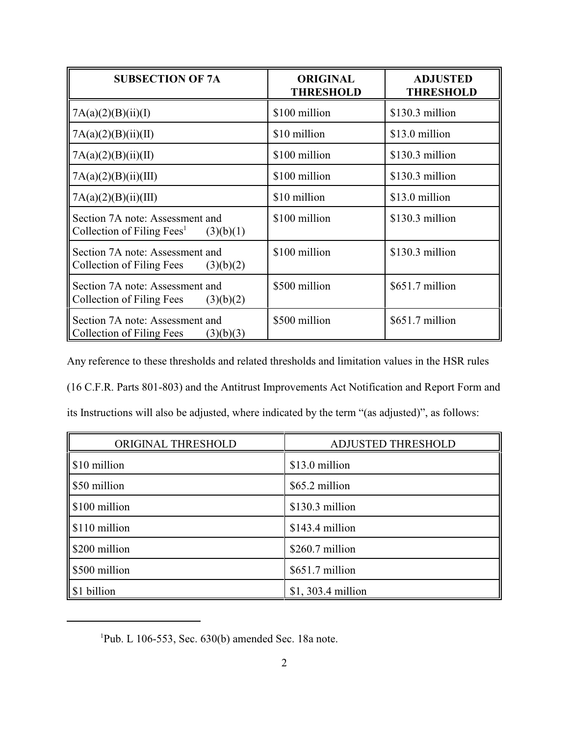| <b>SUBSECTION OF 7A</b>                                                                | <b>ORIGINAL</b><br><b>THRESHOLD</b> | <b>ADJUSTED</b><br><b>THRESHOLD</b> |
|----------------------------------------------------------------------------------------|-------------------------------------|-------------------------------------|
| 7A(a)(2)(B)(ii)(I)                                                                     | \$100 million                       | $$130.3$ million                    |
| 7A(a)(2)(B)(ii)(II)                                                                    | \$10 million                        | \$13.0 million                      |
| 7A(a)(2)(B)(ii)(II)                                                                    | \$100 million                       | $$130.3$ million                    |
| 7A(a)(2)(B)(ii)(III)                                                                   | \$100 million                       | $$130.3$ million                    |
| 7A(a)(2)(B)(ii)(III)                                                                   | \$10 million                        | \$13.0 million                      |
| Section 7A note: Assessment and<br>Collection of Filing Fees <sup>1</sup><br>(3)(b)(1) | \$100 million                       | $$130.3$ million                    |
| Section 7A note: Assessment and<br>Collection of Filing Fees<br>(3)(b)(2)              | \$100 million                       | \$130.3 million                     |
| Section 7A note: Assessment and<br>Collection of Filing Fees<br>(3)(b)(2)              | \$500 million                       | \$651.7 million                     |
| Section 7A note: Assessment and<br>Collection of Filing Fees<br>(3)(b)(3)              | \$500 million                       | $$651.7$ million                    |

Any reference to these thresholds and related thresholds and limitation values in the HSR rules

(16 C.F.R. Parts 801-803) and the Antitrust Improvements Act Notification and Report Form and

|  |  |  |  | its Instructions will also be adjusted, where indicated by the term "(as adjusted)", as follows: |  |
|--|--|--|--|--------------------------------------------------------------------------------------------------|--|
|  |  |  |  |                                                                                                  |  |

| ORIGINAL THRESHOLD | <b>ADJUSTED THRESHOLD</b> |  |  |
|--------------------|---------------------------|--|--|
| \$10 million       | \$13.0 million            |  |  |
| S50 million        | \$65.2 million            |  |  |
| \$100 million      | $$130.3$ million          |  |  |
| \$110 million      | \$143.4 million           |  |  |
| \$200 million      | \$260.7 million           |  |  |
| \$500 million      | $$651.7$ million          |  |  |
| \$1 billion        | $$1, 303.4$ million       |  |  |

<sup>&</sup>lt;sup>1</sup>Pub. L 106-553, Sec.  $630(b)$  amended Sec. 18a note.